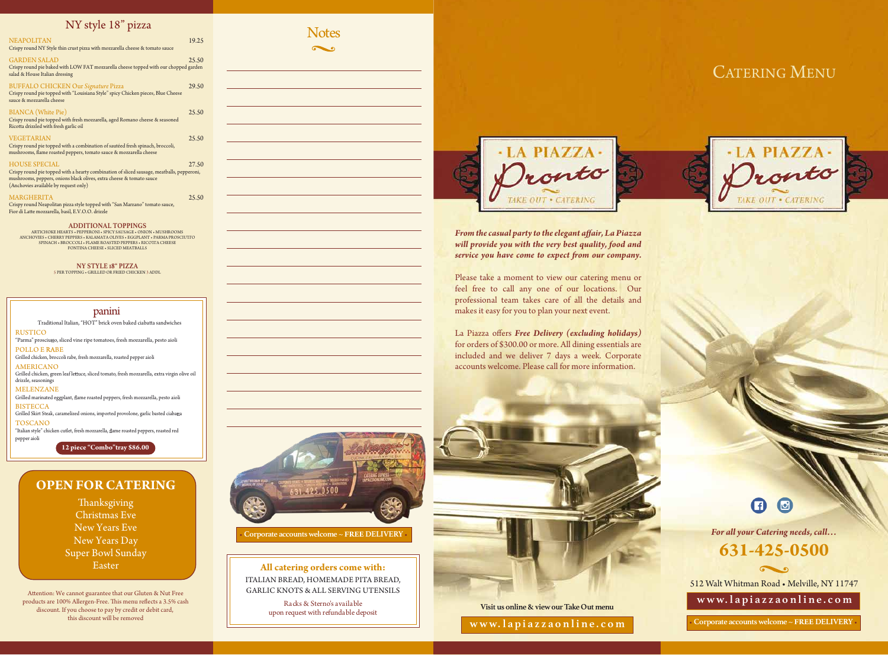CATERING MENU





*For all your Catering needs, call...* 



**All catering orders come with:** ITALIAN BREAD, HOMEMADE PITA BREAD, GARLIC KNOTS & ALL SERVING UTENSILS

RUSTICO "Parma" prosciutto, sliced vine ripe tomatoes, fresh mozzarella, pesto aioli POLLO E RABE Grilled chicken, broccoli rabe, fresh mozzarella, roasted pepper aioli AMERICANO Grilled chicken, green leaf lettuce, sliced tomato, fresh mozzarella, extra virgin olive oil drizzle, seasonings MELENZANE Grilled marinated eggplant, flame roasted peppers, fresh mozzarella, pesto aioli **BISTECCA** Grilled Skirt Steak, caramelized onions, imported provolone, garlic basted ciabatta TOSCANO Traditional Italian, "HOT" brick oven baked ciabatta sandwiches

> Racks & Sterno's available upon request with refundable deposit



*From the casual party to the elegant affair, La Piazza will provide you with the very best quality, food and service you have come to expect from our company.* 

## panini

**12 piece "Combo"tray \$86.00**

"Italian style" chicken cutlet, fresh mozzarella, flame roasted peppers, roasted red pepper aioli



• **Corporate accounts welcome~ FREE DELIVERY**•

**Visit us online&viewourTakeOut menu**

**www. l api a z z a o nl i ne . c o m**

# **631-425-0500**

512 Walt Whitman Road • Melville, NY 11747

 $\sim$ 

Crispy round Neapolitan pizza style topped with "San Marzano" tomato sauce, Fior di Latte mozzarella, basil, E.V.O.O. drizzle

**www. l api a z z a o nl i ne . c o m**

• **Corporate accounts welcome~ FREE DELIVERY**•

| <b>NEAPOLITAN</b><br>Crispy round NY Style thin crust pizza with mozzarella cheese & tomato sauce                                                                                                                                   | 19.25 |
|-------------------------------------------------------------------------------------------------------------------------------------------------------------------------------------------------------------------------------------|-------|
| <b>GARDEN SALAD</b><br>Crispy round pie baked with LOW FAT mozzarella cheese topped with our chopped garden<br>salad & House Italian dressing                                                                                       | 25.50 |
| <b>BUFFALO CHICKEN Our Signature Pizza</b><br>Crispy round pie topped with "Louisiana Style" spicy Chicken pieces, Blue Cheese<br>sauce & mozzarella cheese                                                                         | 29.50 |
| <b>BIANCA</b> (White Pie)<br>Crispy round pie topped with fresh mozzarella, aged Romano cheese & seasoned<br>Ricotta drizzled with fresh garlic oil                                                                                 | 25.50 |
| <b>VEGETARIAN</b><br>Crispy round pie topped with a combination of sautéed fresh spinach, broccoli,<br>mushrooms, flame roasted peppers, tomato sauce & mozzarella cheese                                                           | 25.50 |
| <b>HOUSE SPECIAL</b><br>Crispy round pie topped with a hearty combination of sliced sausage, meatballs, pepperoni,<br>mushrooms, peppers, onions black olives, extra cheese & tomato sauce<br>(Anchovies available by request only) | 27.50 |
| <b>MARGHERITA</b>                                                                                                                                                                                                                   | 25.50 |

La Piazza offers *Free Delivery* (excluding holidays) for orders of \$300.00 or more. All dining essentials are included and we deliver 7 days a week. Corporate accounts welcome. Please call for more information.



Attention: We cannot guarantee that our Gluten & Nut Free products are 100% Allergen-Free. This menu reflects a 3.5% cash discount. If you choose to pay by credit or debit card, this discount will be removed

**Thanksgiving** Christmas Eve New Years Eve New Years Day Super Bowl Sunday Easter

#### **ADDITIONAL TOPPINGS**

ARTICHOKE HEARTS • PEPPERONI • SPICY SAUSAGE • ONION • MUSHROOMS ANCHOVIES • CHERRY PEPPERS • KALAMATA OLIVES • EGGPLANT • PARMA PROSCIUTTO SPINACH • BROCCOLI • FLAME ROASTED PEPPERS • RICOTTA CHEESE FONTINA CHEESE • SLICED MEATBALLS

> **NY STYLE 18" PIZZA** 5 PER TOPPING • GRILLED OR FRIED CHICKEN 3 ADDL

## NY style 18" pizza

Please take a moment to view our catering menu or feel free to call any one of our locations. Our professional team takes care of all the details and makes it easy for you to plan your next event.

## **OPEN FOR CATERING**